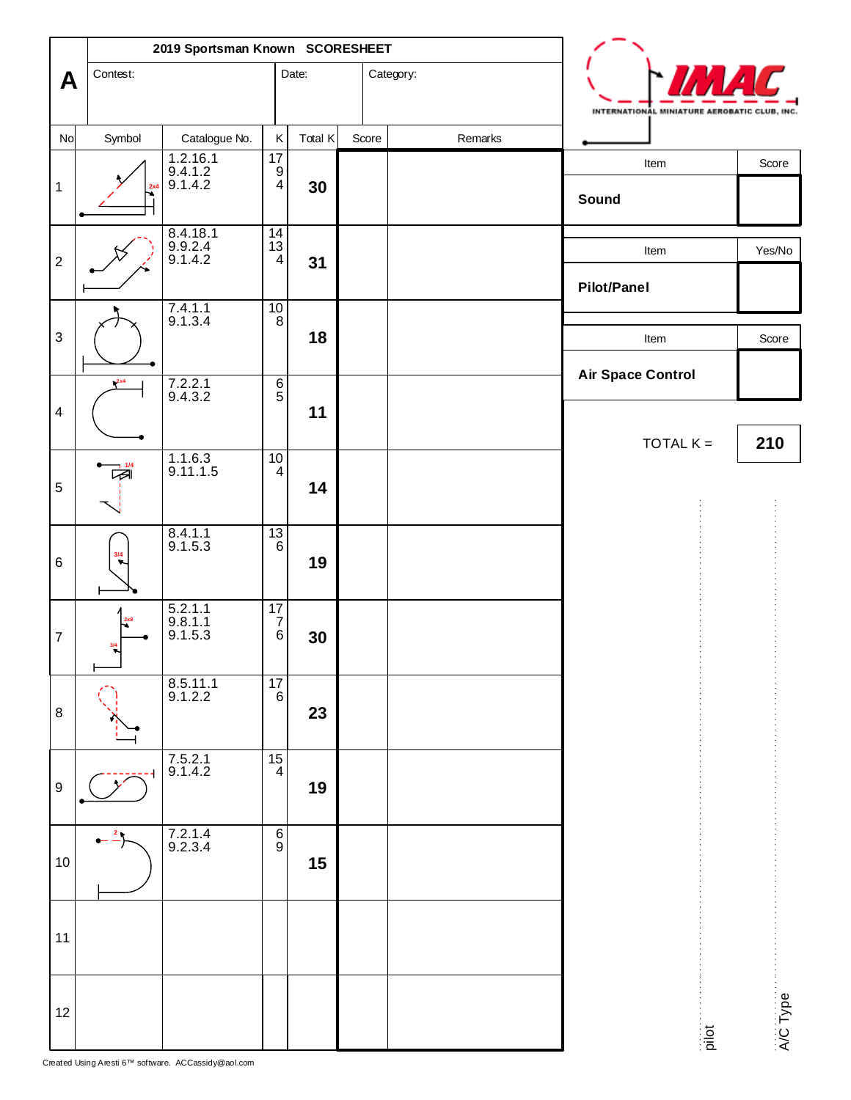|                           | 2019 Sportsman Known SCORESHEET |                                   |                                               |         |       |           |         |  |                                              |                   |  |
|---------------------------|---------------------------------|-----------------------------------|-----------------------------------------------|---------|-------|-----------|---------|--|----------------------------------------------|-------------------|--|
| A                         | Contest:                        |                                   |                                               | Date:   |       | Category: |         |  | INTERNATIONAL MINIATURE AEROBATIC CLUB, INC. |                   |  |
| No                        | Symbol                          | Catalogue No.                     | Κ                                             | Total K | Score |           | Remarks |  |                                              |                   |  |
| $\mathbf 1$               | 2x4                             | 1.2.16.1<br>9.4.1.2<br>9.1.4.2    | $17$<br>$\begin{array}{c} 9 \\ 4 \end{array}$ | 30      |       |           |         |  | Item<br>Sound                                | Score             |  |
| $\sqrt{2}$                |                                 | 8.4.18.1<br>9.9.2.4<br>9.1.4.2    | $\frac{14}{13}$<br>$\overline{4}$             | 31      |       |           |         |  | Item<br><b>Pilot/Panel</b>                   | Yes/No            |  |
| $\ensuremath{\mathsf{3}}$ |                                 | $7.4.1.1$<br>9.1.3.4              | $\frac{10}{8}$                                | 18      |       |           |         |  | Item                                         | Score             |  |
| $\overline{\mathbf{4}}$   | 2x4                             | 7.2.2.1<br>9.4.3.2                | $rac{6}{5}$                                   | 11      |       |           |         |  | <b>Air Space Control</b>                     |                   |  |
| 5                         | 1/4<br>☞                        | 1.1.6.3<br>9.11.1.5               | $10\,$<br>$\overline{\mathbf{4}}$             | 14      |       |           |         |  | TOTAL $K =$                                  | 210               |  |
| $\,6$                     | 3/4                             | 8.4.1.1<br>9.1.5.3                | $\overline{3}$<br>$6\phantom{1}$              | 19      |       |           |         |  |                                              |                   |  |
| $\boldsymbol{7}$          | 2x8<br>$\frac{3/4}{3}$          | 5.2.1.1<br>$9.8.1.1$<br>$9.1.5.3$ | $\frac{17}{7}$<br>$\,6\,$                     | 30      |       |           |         |  |                                              |                   |  |
| 8                         |                                 | $8.5.11.1$<br>9.1.2.2             | 17<br>6                                       | 23      |       |           |         |  |                                              |                   |  |
| $\boldsymbol{9}$          |                                 | $7.5.2.1$<br>9.1.4.2              | $\begin{bmatrix} 15 \\ 4 \end{bmatrix}$       | 19      |       |           |         |  |                                              |                   |  |
| 10                        | $-2$                            | 7.2.1.4<br>9.2.3.4                | $\begin{bmatrix} 6 \\ 9 \end{bmatrix}$        | 15      |       |           |         |  |                                              |                   |  |
| 11                        |                                 |                                   |                                               |         |       |           |         |  |                                              |                   |  |
| 12                        |                                 |                                   |                                               |         |       |           |         |  |                                              | А/С Туре<br>pilot |  |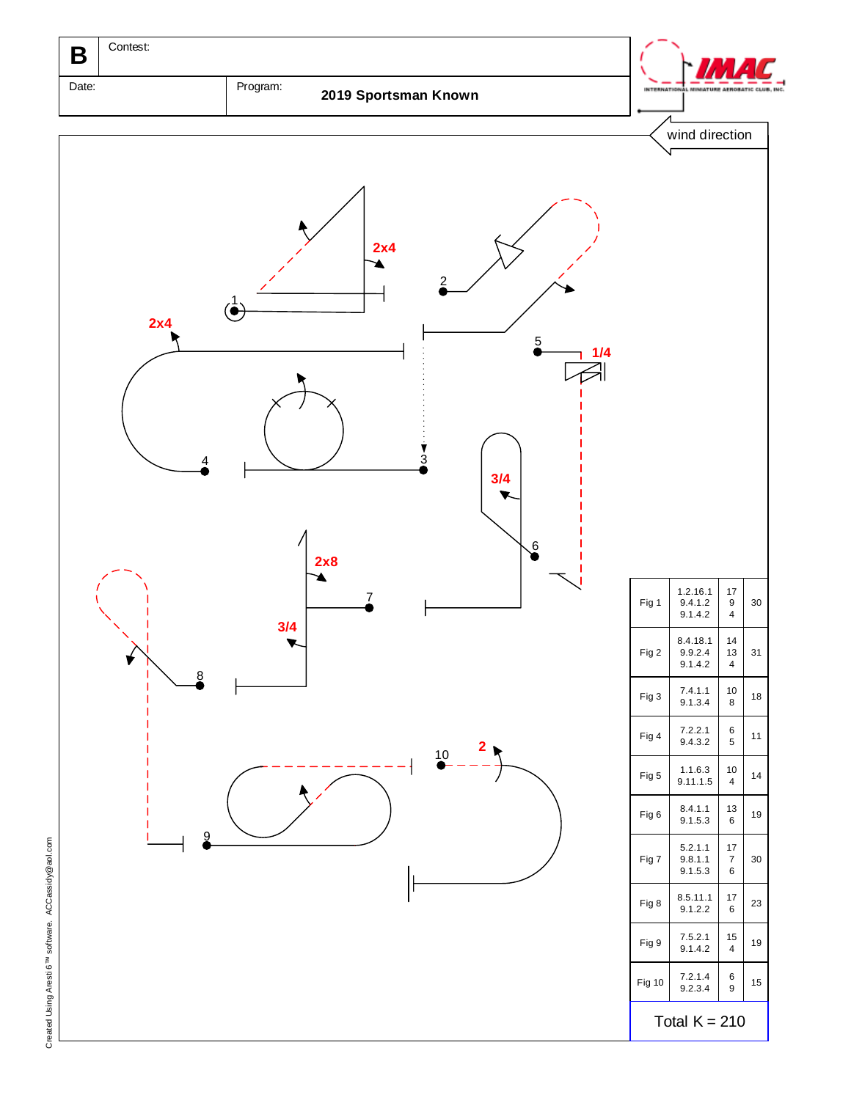

Created Using Aresti 6<sup>TM</sup> software. ACCassidy@aol.com